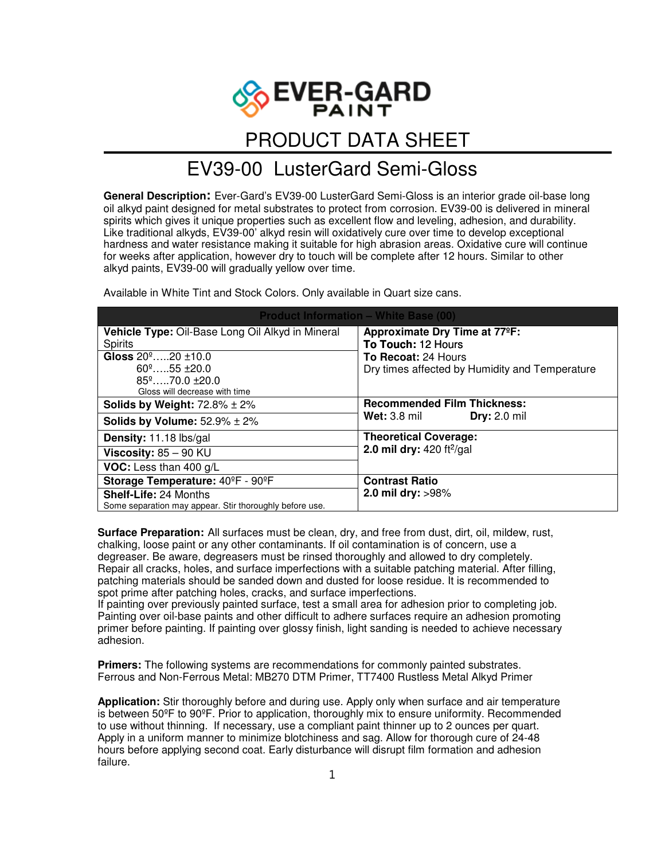

## PRODUCT DATA SHEET

## EV39-00LusterGard Semi-Gloss

**General Description:** Ever-Gard's EV39-00 LusterGard Semi-Gloss is an interior grade oil-base long oil alkyd paint designed for metal substrates to protect from corrosion. EV39-00 is delivered in mineral spirits which gives it unique properties such as excellent flow and leveling, adhesion, and durability. Like traditional alkyds, EV39-00' alkyd resin will oxidatively cure over time to develop exceptional hardness and water resistance making it suitable for high abrasion areas. Oxidative cure will continue for weeks after application, however dry to touch will be complete after 12 hours. Similar to other alkyd paints, EV39-00 will gradually yellow over time.

Available in White Tint and Stock Colors. Only available in Quart size cans.

| <b>Product Information - White Base (00)</b>            |                                                |
|---------------------------------------------------------|------------------------------------------------|
| Vehicle Type: Oil-Base Long Oil Alkyd in Mineral        | Approximate Dry Time at 77°F:                  |
| <b>Spirits</b>                                          | To Touch: 12 Hours                             |
| Gloss $20^{\circ}$ 20 $\pm$ 10.0                        | To Recoat: 24 Hours                            |
| $60^{\circ}$ 55 $\pm$ 20.0                              | Dry times affected by Humidity and Temperature |
| $85^{\circ}$ 70.0 $\pm$ 20.0                            |                                                |
| Gloss will decrease with time                           |                                                |
| Solids by Weight: $72.8\% \pm 2\%$                      | <b>Recommended Film Thickness:</b>             |
| Solids by Volume: $52.9\% \pm 2\%$                      | <b>Dry: 2.0 mil</b><br><b>Wet:</b> 3.8 mil     |
| Density: 11.18 lbs/gal                                  | <b>Theoretical Coverage:</b>                   |
| Viscosity: $85 - 90$ KU                                 | 2.0 mil dry: $420 \frac{ft^2}{gal}$            |
| VOC: Less than 400 g/L                                  |                                                |
| Storage Temperature: 40°F - 90°F                        | <b>Contrast Ratio</b>                          |
| <b>Shelf-Life: 24 Months</b>                            | 2.0 mil dry: >98%                              |
| Some separation may appear. Stir thoroughly before use. |                                                |

**Surface Preparation:** All surfaces must be clean, dry, and free from dust, dirt, oil, mildew, rust, chalking, loose paint or any other contaminants. If oil contamination is of concern, use a degreaser. Be aware, degreasers must be rinsed thoroughly and allowed to dry completely. Repair all cracks, holes, and surface imperfections with a suitable patching material. After filling, patching materials should be sanded down and dusted for loose residue. It is recommended to spot prime after patching holes, cracks, and surface imperfections.

If painting over previously painted surface, test a small area for adhesion prior to completing job. Painting over oil-base paints and other difficult to adhere surfaces require an adhesion promoting primer before painting. If painting over glossy finish, light sanding is needed to achieve necessary adhesion.

**Primers:** The following systems are recommendations for commonly painted substrates. Ferrous and Non-Ferrous Metal: MB270 DTM Primer, TT7400 Rustless Metal Alkyd Primer

**Application:** Stir thoroughly before and during use. Apply only when surface and air temperature is between 50ºF to 90ºF. Prior to application, thoroughly mix to ensure uniformity. Recommended to use without thinning. If necessary, use a compliant paint thinner up to 2 ounces per quart. Apply in a uniform manner to minimize blotchiness and sag. Allow for thorough cure of 24-48 hours before applying second coat. Early disturbance will disrupt film formation and adhesion failure.